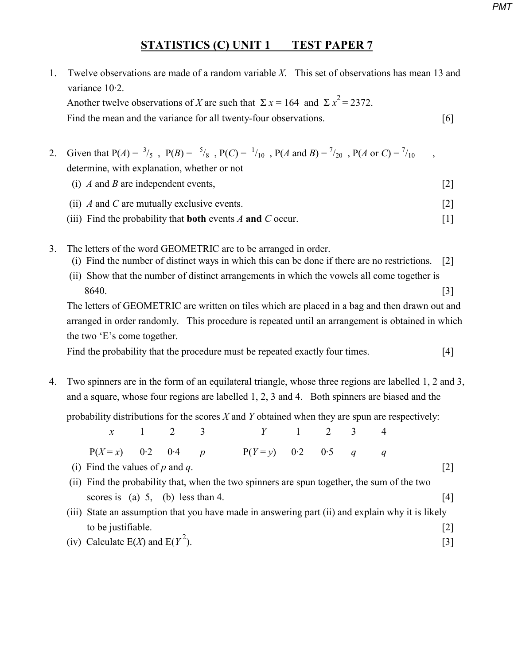## **STATISTICS (C) UNIT 1 TEST PAPER 7**

- 1. Twelve observations are made of a random variable *X.* This set of observations has mean 13 and variance 10·2. Another twelve observations of *X* are such that  $\Sigma x = 164$  and  $\Sigma x^2 = 2372$ . Find the mean and the variance for all twenty-four observations. [6]
- 2. Given that  $P(A) = \frac{3}{5}$ ,  $P(B) = \frac{5}{8}$ ,  $P(C) = \frac{1}{10}$ ,  $P(A \text{ and } B) = \frac{7}{20}$ ,  $P(A \text{ or } C) = \frac{7}{10}$ , determine, with explanation, whether or not
	- (i) *A* and *B* are independent events, [2] (ii) *A* and *C* are mutually exclusive events. [2]
	- (iii) Find the probability that **both** events *A* **and** *C* occur. [1]
- 3. The letters of the word GEOMETRIC are to be arranged in order.
	- (i) Find the number of distinct ways in which this can be done if there are no restrictions. [2]
	- (ii) Show that the number of distinct arrangements in which the vowels all come together is 8640. [3]

 The letters of GEOMETRIC are written on tiles which are placed in a bag and then drawn out and arranged in order randomly. This procedure is repeated until an arrangement is obtained in which the two 'E's come together.

Find the probability that the procedure must be repeated exactly four times. [4]

4. Two spinners are in the form of an equilateral triangle, whose three regions are labelled 1, 2 and 3, and a square, whose four regions are labelled 1, 2, 3 and 4. Both spinners are biased and the

probability distributions for the scores *X* and *Y* obtained when they are spun are respectively:

|                                                                                             | $x \qquad 1 \qquad 2 \qquad 3$ |  |  | $Y \qquad 1 \qquad 2 \qquad 3$                                                                   |  |  |  |           |
|---------------------------------------------------------------------------------------------|--------------------------------|--|--|--------------------------------------------------------------------------------------------------|--|--|--|-----------|
| $P(X=x)$ 0.2 0.4 p                                                                          |                                |  |  | $P(Y = y)$ 0.2 0.5 q q                                                                           |  |  |  |           |
| (i) Find the values of $p$ and $q$ .                                                        |                                |  |  |                                                                                                  |  |  |  |           |
| (ii) Find the probability that, when the two spinners are spun together, the sum of the two |                                |  |  |                                                                                                  |  |  |  |           |
| scores is (a) $5$ , (b) less than 4.                                                        |                                |  |  |                                                                                                  |  |  |  | 4         |
|                                                                                             |                                |  |  | (iii) State an assumption that you have made in answering part (ii) and explain why it is likely |  |  |  |           |
| to be justifiable.                                                                          |                                |  |  |                                                                                                  |  |  |  | $\vert$ 2 |
| (iv) Calculate $E(X)$ and $E(Y^2)$ .                                                        |                                |  |  |                                                                                                  |  |  |  |           |

(iv) Calculate  $E(X)$  and  $E(Y^2)$ .

*PMT*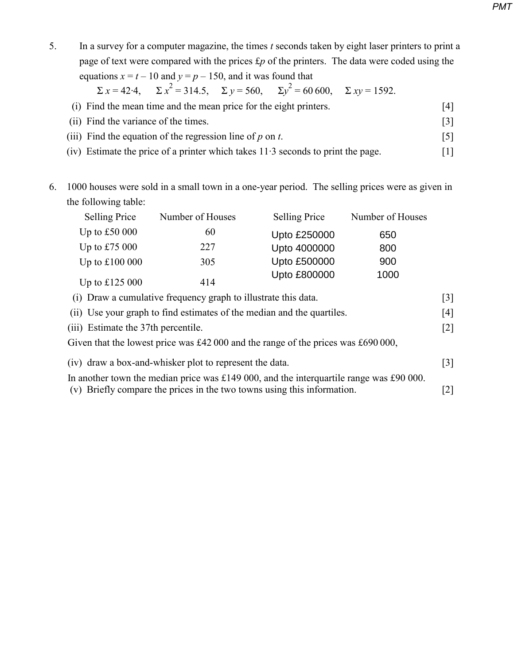5. In a survey for a computer magazine, the times *t* seconds taken by eight laser printers to print a page of text were compared with the prices £*p* of the printers. The data were coded using the equations  $x = t - 10$  and  $y = p - 150$ , and it was found that

> $\Sigma x = 42.4$ , <sup>2</sup> = 314.5, Σ *y* = 560, Σ*y*<sup>2</sup>  $\Sigma xy = 1592.$

- (i) Find the mean time and the mean price for the eight printers. [4]
- (ii) Find the variance of the times. [3]
- (iii) Find the equation of the regression line of  $p$  on  $t$ . [5]
- (iv) Estimate the price of a printer which takes 11·3 seconds to print the page. [1]
- 6. 1000 houses were sold in a small town in a one-year period. The selling prices were as given in the following table:

|                                                                                   | <b>Selling Price</b>                                                                    | Number of Houses | Selling Price | Number of Houses |                   |  |
|-----------------------------------------------------------------------------------|-----------------------------------------------------------------------------------------|------------------|---------------|------------------|-------------------|--|
|                                                                                   | Up to $£50000$                                                                          | 60               | Upto £250000  | 650              |                   |  |
|                                                                                   | Up to £75 000                                                                           | 227              | Upto 4000000  | 800              |                   |  |
|                                                                                   | Up to $£100000$                                                                         | 305              | Upto £500000  | 900              |                   |  |
|                                                                                   | Up to $£125000$                                                                         | 414              | Upto £800000  | 1000             |                   |  |
|                                                                                   | (i) Draw a cumulative frequency graph to illustrate this data.                          |                  |               |                  |                   |  |
|                                                                                   | (ii) Use your graph to find estimates of the median and the quartiles.                  |                  |               |                  |                   |  |
|                                                                                   | (iii) Estimate the 37th percentile.                                                     |                  |               |                  | $\lceil 2 \rceil$ |  |
| Given that the lowest price was £42 000 and the range of the prices was £690 000, |                                                                                         |                  |               |                  |                   |  |
|                                                                                   | (iv) draw a box-and-whisker plot to represent the data.                                 |                  |               |                  |                   |  |
|                                                                                   | In another town the median price was £149 000, and the interquartile range was £90 000. |                  |               |                  |                   |  |

(v) Briefly compare the prices in the two towns using this information. [2]